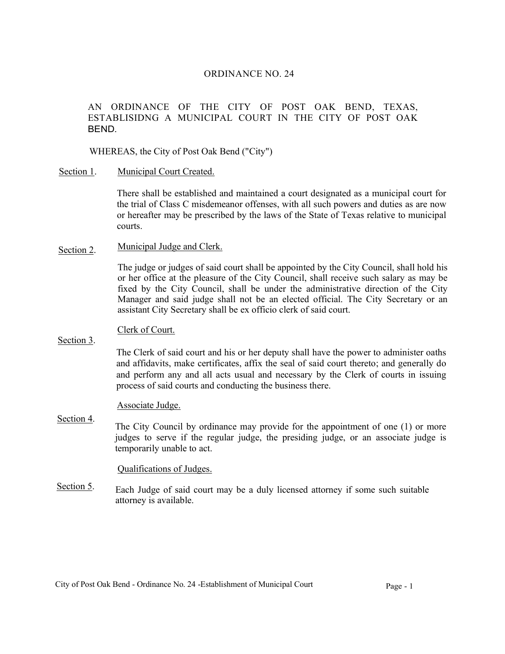## ORDINANCE NO. 24

# AN ORDINANCE OF THE CITY OF POST OAK BEND, TEXAS, ESTABLISIDNG A MUNICIPAL COURT IN THE CITY OF POST OAK BEND.

## WHEREAS, the City of Post Oak Bend ("City")

Section 1. Municipal Court Created.

> There shall be established and maintained a court designated as a municipal court for the trial of Class C misdemeanor offenses, with all such powers and duties as are now or hereafter may be prescribed by the laws of the State of Texas relative to municipal courts.

Section 2. Municipal Judge and Clerk.

> The judge or judges of said court shall be appointed by the City Council, shall hold his or her office at the pleasure of the City Council, shall receive such salary as may be fixed by the City Council, shall be under the administrative direction of the City Manager and said judge shall not be an elected official. The City Secretary or an assistant City Secretary shall be ex officio clerk of said court.

#### Clerk of Court.

Section 3.

The Clerk of said court and his or her deputy shall have the power to administer oaths and affidavits, make certificates, affix the seal of said court thereto; and generally do and perform any and all acts usual and necessary by the Clerk of courts in issuing process of said courts and conducting the business there.

#### Associate Judge.

Section 4. The City Council by ordinance may provide for the appointment of one (1) or more judges to serve if the regular judge, the presiding judge, or an associate judge is temporarily unable to act.

#### Qualifications of Judges.

Section 5. Each Judge of said court may be a duly licensed attorney if some such suitable attorney is available.